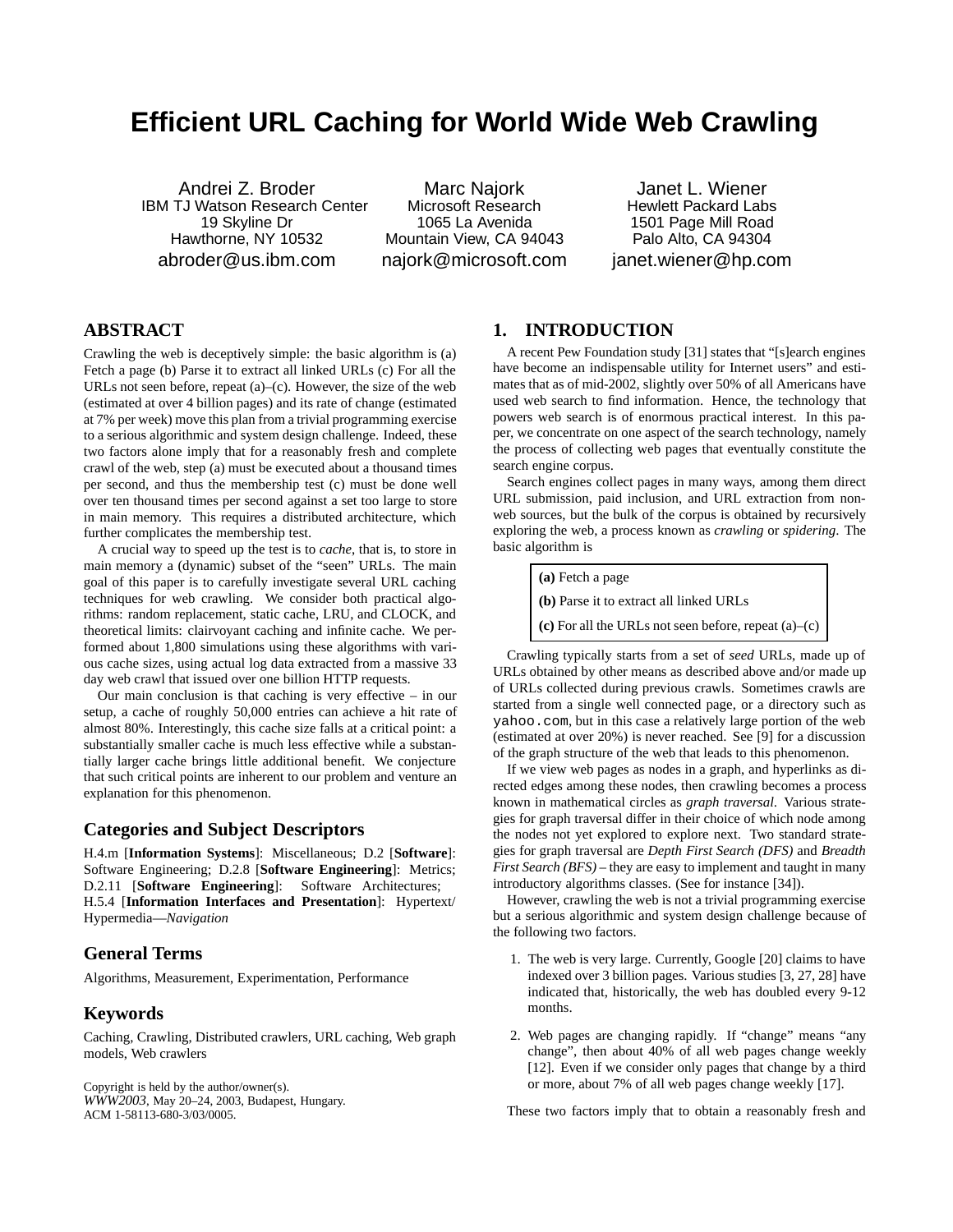# **Efficient URL Caching for World Wide Web Crawling**

Andrei Z. Broder IBM TJ Watson Research Center 19 Skyline Dr Hawthorne, NY 10532 abroder@us.ibm.com

Marc Najork Microsoft Research 1065 La Avenida Mountain View, CA 94043 najork@microsoft.com

Janet L. Wiener Hewlett Packard Labs 1501 Page Mill Road Palo Alto, CA 94304 janet.wiener@hp.com

# **ABSTRACT**

Crawling the web is deceptively simple: the basic algorithm is (a) Fetch a page (b) Parse it to extract all linked URLs (c) For all the URLs not seen before, repeat (a)–(c). However, the size of the web (estimated at over 4 billion pages) and its rate of change (estimated at 7% per week) move this plan from a trivial programming exercise to a serious algorithmic and system design challenge. Indeed, these two factors alone imply that for a reasonably fresh and complete crawl of the web, step (a) must be executed about a thousand times per second, and thus the membership test (c) must be done well over ten thousand times per second against a set too large to store in main memory. This requires a distributed architecture, which further complicates the membership test.

A crucial way to speed up the test is to *cache*, that is, to store in main memory a (dynamic) subset of the "seen" URLs. The main goal of this paper is to carefully investigate several URL caching techniques for web crawling. We consider both practical algorithms: random replacement, static cache, LRU, and CLOCK, and theoretical limits: clairvoyant caching and infinite cache. We performed about 1,800 simulations using these algorithms with various cache sizes, using actual log data extracted from a massive 33 day web crawl that issued over one billion HTTP requests.

Our main conclusion is that caching is very effective – in our setup, a cache of roughly 50,000 entries can achieve a hit rate of almost 80%. Interestingly, this cache size falls at a critical point: a substantially smaller cache is much less effective while a substantially larger cache brings little additional benefit. We conjecture that such critical points are inherent to our problem and venture an explanation for this phenomenon.

### **Categories and Subject Descriptors**

H.4.m [**Information Systems**]: Miscellaneous; D.2 [**Software**]: Software Engineering; D.2.8 [**Software Engineering**]: Metrics; D.2.11 [**Software Engineering**]: Software Architectures; H.5.4 [**Information Interfaces and Presentation**]: Hypertext/ Hypermedia—*Navigation*

# **General Terms**

Algorithms, Measurement, Experimentation, Performance

# **Keywords**

Caching, Crawling, Distributed crawlers, URL caching, Web graph models, Web crawlers

Copyright is held by the author/owner(s). *WWW2003*, May 20–24, 2003, Budapest, Hungary. ACM 1-58113-680-3/03/0005.

# **1. INTRODUCTION**

A recent Pew Foundation study [31] states that "[s]earch engines have become an indispensable utility for Internet users" and estimates that as of mid-2002, slightly over 50% of all Americans have used web search to find information. Hence, the technology that powers web search is of enormous practical interest. In this paper, we concentrate on one aspect of the search technology, namely the process of collecting web pages that eventually constitute the search engine corpus.

Search engines collect pages in many ways, among them direct URL submission, paid inclusion, and URL extraction from nonweb sources, but the bulk of the corpus is obtained by recursively exploring the web, a process known as *crawling* or *spidering*. The basic algorithm is

**(a)** Fetch a page

```
(b) Parse it to extract all linked URLs
```
**(c)** For all the URLs not seen before, repeat (a)–(c)

Crawling typically starts from a set of *seed* URLs, made up of URLs obtained by other means as described above and/or made up of URLs collected during previous crawls. Sometimes crawls are started from a single well connected page, or a directory such as yahoo.com, but in this case a relatively large portion of the web (estimated at over 20%) is never reached. See [9] for a discussion of the graph structure of the web that leads to this phenomenon.

If we view web pages as nodes in a graph, and hyperlinks as directed edges among these nodes, then crawling becomes a process known in mathematical circles as *graph traversal*. Various strategies for graph traversal differ in their choice of which node among the nodes not yet explored to explore next. Two standard strategies for graph traversal are *Depth First Search (DFS)* and *Breadth First Search (BFS)* – they are easy to implement and taught in many introductory algorithms classes. (See for instance [34]).

However, crawling the web is not a trivial programming exercise but a serious algorithmic and system design challenge because of the following two factors.

- 1. The web is very large. Currently, Google [20] claims to have indexed over 3 billion pages. Various studies [3, 27, 28] have indicated that, historically, the web has doubled every 9-12 months.
- 2. Web pages are changing rapidly. If "change" means "any change", then about 40% of all web pages change weekly [12]. Even if we consider only pages that change by a third or more, about 7% of all web pages change weekly [17].

These two factors imply that to obtain a reasonably fresh and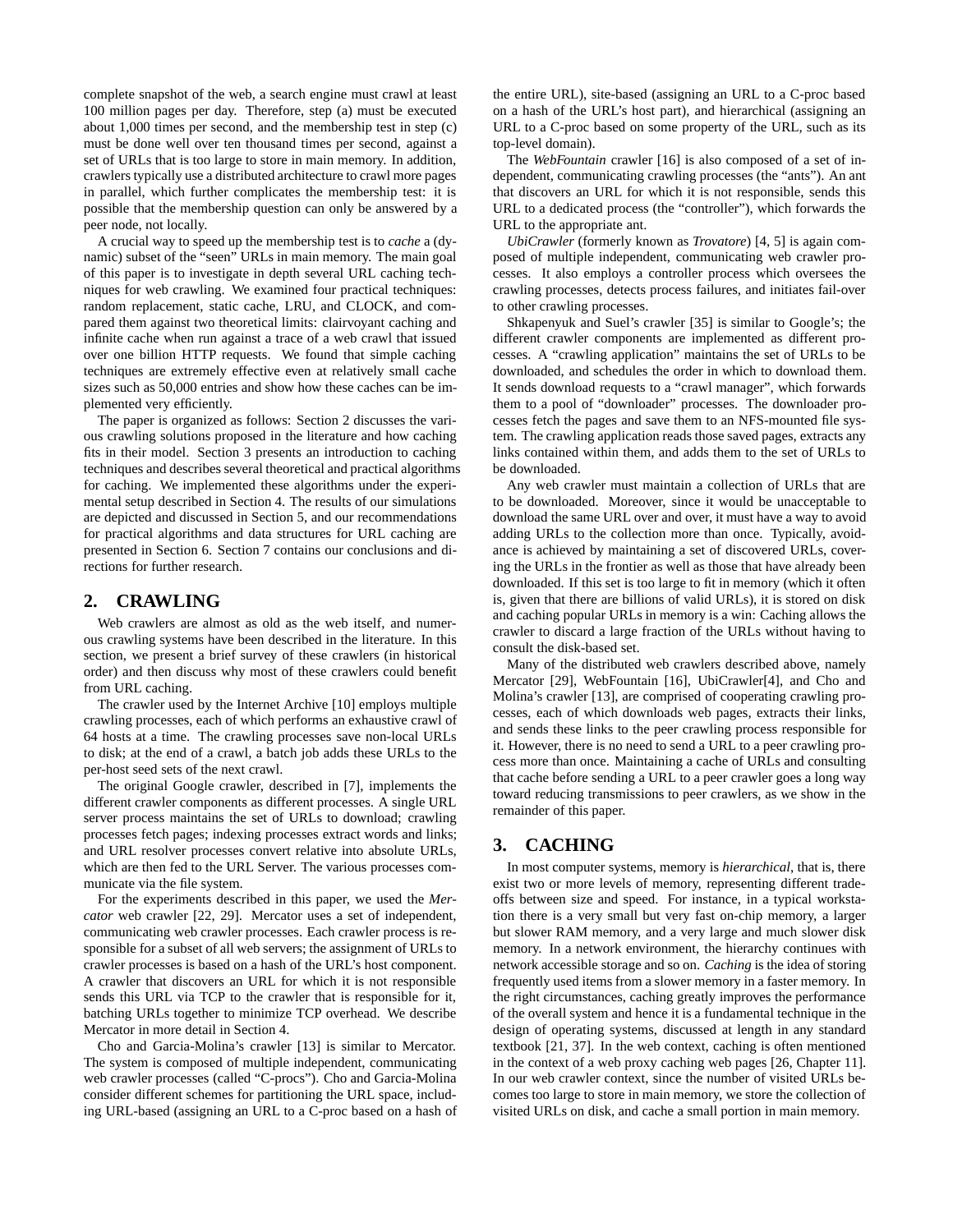complete snapshot of the web, a search engine must crawl at least 100 million pages per day. Therefore, step (a) must be executed about 1,000 times per second, and the membership test in step (c) must be done well over ten thousand times per second, against a set of URLs that is too large to store in main memory. In addition, crawlers typically use a distributed architecture to crawl more pages in parallel, which further complicates the membership test: it is possible that the membership question can only be answered by a peer node, not locally.

A crucial way to speed up the membership test is to *cache* a (dynamic) subset of the "seen" URLs in main memory. The main goal of this paper is to investigate in depth several URL caching techniques for web crawling. We examined four practical techniques: random replacement, static cache, LRU, and CLOCK, and compared them against two theoretical limits: clairvoyant caching and infinite cache when run against a trace of a web crawl that issued over one billion HTTP requests. We found that simple caching techniques are extremely effective even at relatively small cache sizes such as 50,000 entries and show how these caches can be implemented very efficiently.

The paper is organized as follows: Section 2 discusses the various crawling solutions proposed in the literature and how caching fits in their model. Section 3 presents an introduction to caching techniques and describes several theoretical and practical algorithms for caching. We implemented these algorithms under the experimental setup described in Section 4. The results of our simulations are depicted and discussed in Section 5, and our recommendations for practical algorithms and data structures for URL caching are presented in Section 6. Section 7 contains our conclusions and directions for further research.

# **2. CRAWLING**

Web crawlers are almost as old as the web itself, and numerous crawling systems have been described in the literature. In this section, we present a brief survey of these crawlers (in historical order) and then discuss why most of these crawlers could benefit from URL caching.

The crawler used by the Internet Archive [10] employs multiple crawling processes, each of which performs an exhaustive crawl of 64 hosts at a time. The crawling processes save non-local URLs to disk; at the end of a crawl, a batch job adds these URLs to the per-host seed sets of the next crawl.

The original Google crawler, described in [7], implements the different crawler components as different processes. A single URL server process maintains the set of URLs to download; crawling processes fetch pages; indexing processes extract words and links; and URL resolver processes convert relative into absolute URLs, which are then fed to the URL Server. The various processes communicate via the file system.

For the experiments described in this paper, we used the *Mercator* web crawler [22, 29]. Mercator uses a set of independent, communicating web crawler processes. Each crawler process is responsible for a subset of all web servers; the assignment of URLs to crawler processes is based on a hash of the URL's host component. A crawler that discovers an URL for which it is not responsible sends this URL via TCP to the crawler that is responsible for it, batching URLs together to minimize TCP overhead. We describe Mercator in more detail in Section 4.

Cho and Garcia-Molina's crawler [13] is similar to Mercator. The system is composed of multiple independent, communicating web crawler processes (called "C-procs"). Cho and Garcia-Molina consider different schemes for partitioning the URL space, including URL-based (assigning an URL to a C-proc based on a hash of the entire URL), site-based (assigning an URL to a C-proc based on a hash of the URL's host part), and hierarchical (assigning an URL to a C-proc based on some property of the URL, such as its top-level domain).

The *WebFountain* crawler [16] is also composed of a set of independent, communicating crawling processes (the "ants"). An ant that discovers an URL for which it is not responsible, sends this URL to a dedicated process (the "controller"), which forwards the URL to the appropriate ant.

*UbiCrawler* (formerly known as *Trovatore*) [4, 5] is again composed of multiple independent, communicating web crawler processes. It also employs a controller process which oversees the crawling processes, detects process failures, and initiates fail-over to other crawling processes.

Shkapenyuk and Suel's crawler [35] is similar to Google's; the different crawler components are implemented as different processes. A "crawling application" maintains the set of URLs to be downloaded, and schedules the order in which to download them. It sends download requests to a "crawl manager", which forwards them to a pool of "downloader" processes. The downloader processes fetch the pages and save them to an NFS-mounted file system. The crawling application reads those saved pages, extracts any links contained within them, and adds them to the set of URLs to be downloaded.

Any web crawler must maintain a collection of URLs that are to be downloaded. Moreover, since it would be unacceptable to download the same URL over and over, it must have a way to avoid adding URLs to the collection more than once. Typically, avoidance is achieved by maintaining a set of discovered URLs, covering the URLs in the frontier as well as those that have already been downloaded. If this set is too large to fit in memory (which it often is, given that there are billions of valid URLs), it is stored on disk and caching popular URLs in memory is a win: Caching allows the crawler to discard a large fraction of the URLs without having to consult the disk-based set.

Many of the distributed web crawlers described above, namely Mercator [29], WebFountain [16], UbiCrawler[4], and Cho and Molina's crawler [13], are comprised of cooperating crawling processes, each of which downloads web pages, extracts their links, and sends these links to the peer crawling process responsible for it. However, there is no need to send a URL to a peer crawling process more than once. Maintaining a cache of URLs and consulting that cache before sending a URL to a peer crawler goes a long way toward reducing transmissions to peer crawlers, as we show in the remainder of this paper.

# **3. CACHING**

In most computer systems, memory is *hierarchical*, that is, there exist two or more levels of memory, representing different tradeoffs between size and speed. For instance, in a typical workstation there is a very small but very fast on-chip memory, a larger but slower RAM memory, and a very large and much slower disk memory. In a network environment, the hierarchy continues with network accessible storage and so on. *Caching* is the idea of storing frequently used items from a slower memory in a faster memory. In the right circumstances, caching greatly improves the performance of the overall system and hence it is a fundamental technique in the design of operating systems, discussed at length in any standard textbook [21, 37]. In the web context, caching is often mentioned in the context of a web proxy caching web pages [26, Chapter 11]. In our web crawler context, since the number of visited URLs becomes too large to store in main memory, we store the collection of visited URLs on disk, and cache a small portion in main memory.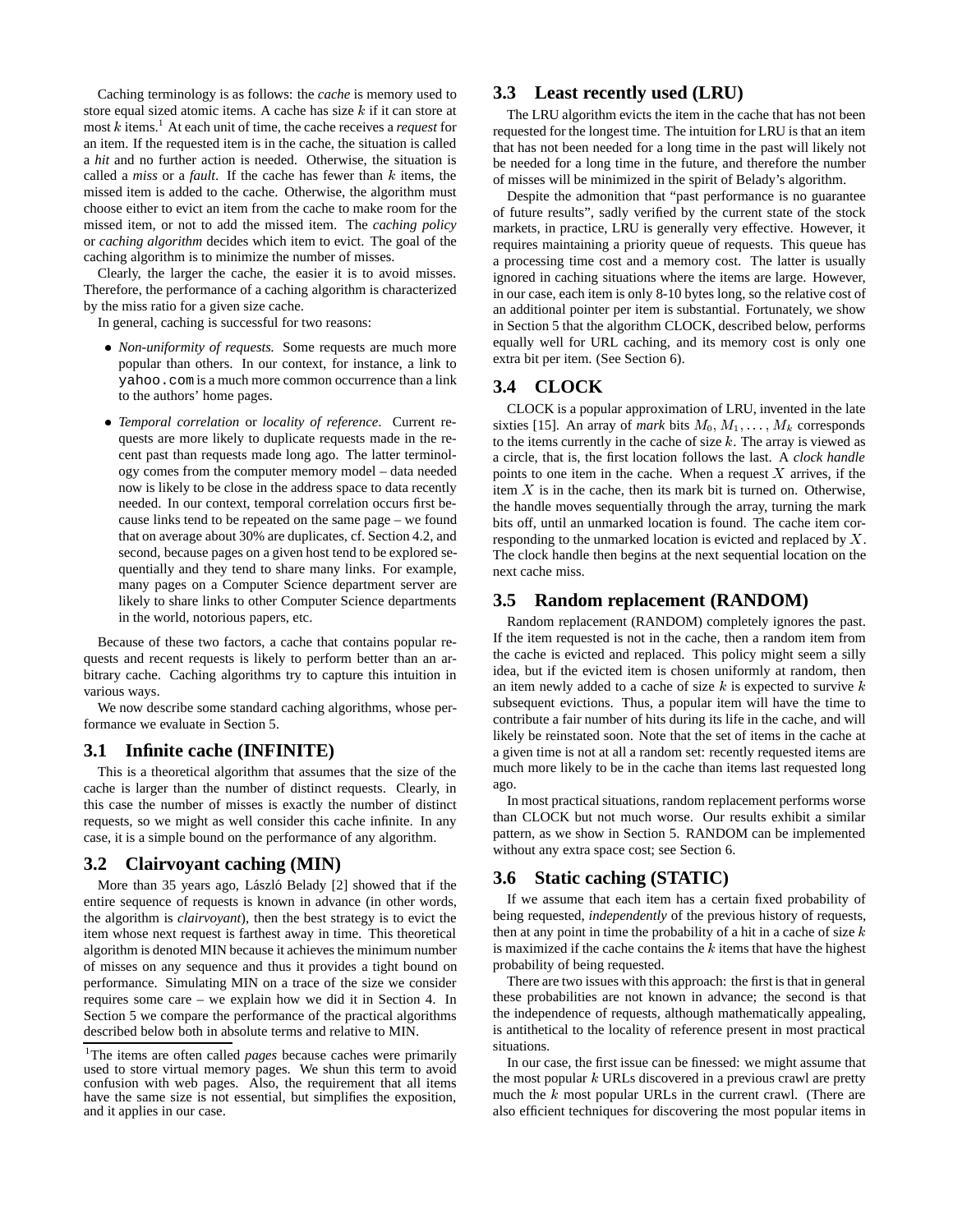Caching terminology is as follows: the *cache* is memory used to store equal sized atomic items. A cache has size  $k$  if it can store at most k items.<sup>1</sup> At each unit of time, the cache receives a *request* for an item. If the requested item is in the cache, the situation is called a *hit* and no further action is needed. Otherwise, the situation is called a *miss* or a *fault*. If the cache has fewer than <sup>k</sup> items, the missed item is added to the cache. Otherwise, the algorithm must choose either to evict an item from the cache to make room for the missed item, or not to add the missed item. The *caching policy* or *caching algorithm* decides which item to evict. The goal of the caching algorithm is to minimize the number of misses.

Clearly, the larger the cache, the easier it is to avoid misses. Therefore, the performance of a caching algorithm is characterized by the miss ratio for a given size cache.

In general, caching is successful for two reasons:

- *Non-uniformity of requests.* Some requests are much more popular than others. In our context, for instance, a link to yahoo.com is a much more common occurrence than a link to the authors' home pages.
- *Temporal correlation* or *locality of reference*. Current requests are more likely to duplicate requests made in the recent past than requests made long ago. The latter terminology comes from the computer memory model – data needed now is likely to be close in the address space to data recently needed. In our context, temporal correlation occurs first because links tend to be repeated on the same page – we found that on average about 30% are duplicates, cf. Section 4.2, and second, because pages on a given host tend to be explored sequentially and they tend to share many links. For example, many pages on a Computer Science department server are likely to share links to other Computer Science departments in the world, notorious papers, etc.

Because of these two factors, a cache that contains popular requests and recent requests is likely to perform better than an arbitrary cache. Caching algorithms try to capture this intuition in various ways.

We now describe some standard caching algorithms, whose performance we evaluate in Section 5.

#### **3.1 Infinite cache (INFINITE)**

This is a theoretical algorithm that assumes that the size of the cache is larger than the number of distinct requests. Clearly, in this case the number of misses is exactly the number of distinct requests, so we might as well consider this cache infinite. In any case, it is a simple bound on the performance of any algorithm.

### **3.2 Clairvoyant caching (MIN)**

More than 35 years ago, László Belady [2] showed that if the entire sequence of requests is known in advance (in other words, the algorithm is *clairvoyant*), then the best strategy is to evict the item whose next request is farthest away in time. This theoretical algorithm is denoted MIN because it achieves the minimum number of misses on any sequence and thus it provides a tight bound on performance. Simulating MIN on a trace of the size we consider requires some care – we explain how we did it in Section 4. In Section 5 we compare the performance of the practical algorithms described below both in absolute terms and relative to MIN.

### **3.3 Least recently used (LRU)**

The LRU algorithm evicts the item in the cache that has not been requested for the longest time. The intuition for LRU is that an item that has not been needed for a long time in the past will likely not be needed for a long time in the future, and therefore the number of misses will be minimized in the spirit of Belady's algorithm.

Despite the admonition that "past performance is no guarantee of future results", sadly verified by the current state of the stock markets, in practice, LRU is generally very effective. However, it requires maintaining a priority queue of requests. This queue has a processing time cost and a memory cost. The latter is usually ignored in caching situations where the items are large. However, in our case, each item is only 8-10 bytes long, so the relative cost of an additional pointer per item is substantial. Fortunately, we show in Section 5 that the algorithm CLOCK, described below, performs equally well for URL caching, and its memory cost is only one extra bit per item. (See Section 6).

## **3.4 CLOCK**

CLOCK is a popular approximation of LRU, invented in the late sixties [15]. An array of *mark* bits  $M_0, M_1, \ldots, M_k$  corresponds to the items currently in the cache of size  $k$ . The array is viewed as a circle, that is, the first location follows the last. A *clock handle* points to one item in the cache. When a request  $X$  arrives, if the item  $X$  is in the cache, then its mark bit is turned on. Otherwise, the handle moves sequentially through the array, turning the mark bits off, until an unmarked location is found. The cache item corresponding to the unmarked location is evicted and replaced by X. The clock handle then begins at the next sequential location on the next cache miss.

### **3.5 Random replacement (RANDOM)**

Random replacement (RANDOM) completely ignores the past. If the item requested is not in the cache, then a random item from the cache is evicted and replaced. This policy might seem a silly idea, but if the evicted item is chosen uniformly at random, then an item newly added to a cache of size  $k$  is expected to survive  $k$ subsequent evictions. Thus, a popular item will have the time to contribute a fair number of hits during its life in the cache, and will likely be reinstated soon. Note that the set of items in the cache at a given time is not at all a random set: recently requested items are much more likely to be in the cache than items last requested long ago.

In most practical situations, random replacement performs worse than CLOCK but not much worse. Our results exhibit a similar pattern, as we show in Section 5. RANDOM can be implemented without any extra space cost; see Section 6.

#### **3.6 Static caching (STATIC)**

If we assume that each item has a certain fixed probability of being requested, *independently* of the previous history of requests, then at any point in time the probability of a hit in a cache of size  $k$ is maximized if the cache contains the  $k$  items that have the highest probability of being requested.

There are two issues with this approach: the first is that in general these probabilities are not known in advance; the second is that the independence of requests, although mathematically appealing, is antithetical to the locality of reference present in most practical situations.

In our case, the first issue can be finessed: we might assume that the most popular  $k$  URLs discovered in a previous crawl are pretty much the  $k$  most popular URLs in the current crawl. (There are also efficient techniques for discovering the most popular items in

<sup>&</sup>lt;sup>1</sup>The items are often called *pages* because caches were primarily used to store virtual memory pages. We shun this term to avoid confusion with web pages. Also, the requirement that all items have the same size is not essential, but simplifies the exposition, and it applies in our case.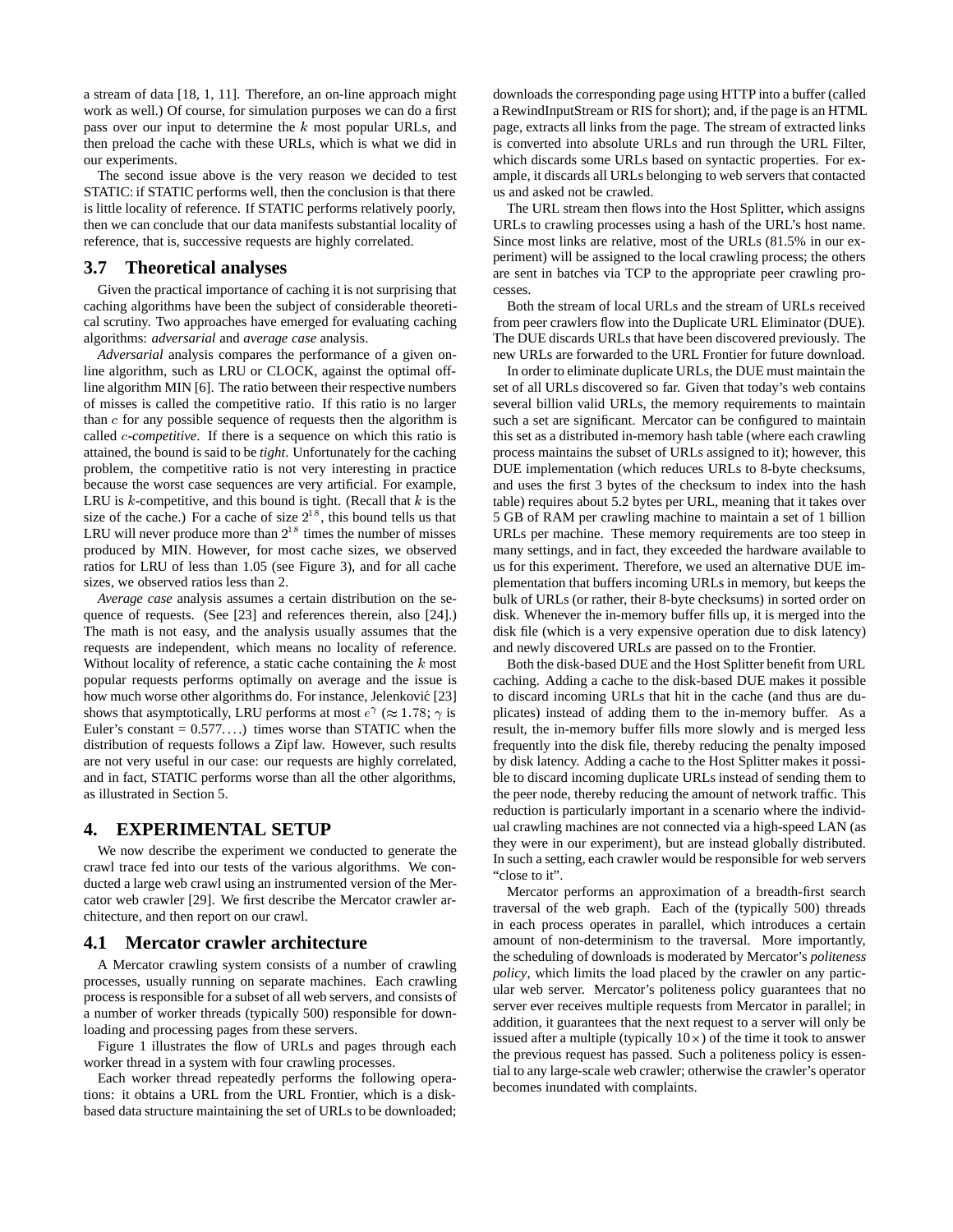a stream of data [18, 1, 11]. Therefore, an on-line approach might work as well.) Of course, for simulation purposes we can do a first pass over our input to determine the k most popular URLs, and then preload the cache with these URLs, which is what we did in our experiments.

The second issue above is the very reason we decided to test STATIC: if STATIC performs well, then the conclusion is that there is little locality of reference. If STATIC performs relatively poorly, then we can conclude that our data manifests substantial locality of reference, that is, successive requests are highly correlated.

#### **3.7 Theoretical analyses**

Given the practical importance of caching it is not surprising that caching algorithms have been the subject of considerable theoretical scrutiny. Two approaches have emerged for evaluating caching algorithms: *adversarial* and *average case* analysis.

*Adversarial* analysis compares the performance of a given online algorithm, such as LRU or CLOCK, against the optimal offline algorithm MIN [6]. The ratio between their respective numbers of misses is called the competitive ratio. If this ratio is no larger than  $c$  for any possible sequence of requests then the algorithm is called <sup>c</sup>*-competitive*. If there is a sequence on which this ratio is attained, the bound is said to be *tight*. Unfortunately for the caching problem, the competitive ratio is not very interesting in practice because the worst case sequences are very artificial. For example, LRU is  $k$ -competitive, and this bound is tight. (Recall that  $k$  is the size of the cache.) For a cache of size  $2^{18}$ , this bound tells us that LRU will never produce more than  $2^{18}$  times the number of misses produced by MIN. However, for most cache sizes, we observed ratios for LRU of less than 1.05 (see Figure 3), and for all cache sizes, we observed ratios less than 2.

*Average case* analysis assumes a certain distribution on the sequence of requests. (See [23] and references therein, also [24].) The math is not easy, and the analysis usually assumes that the requests are independent, which means no locality of reference. Without locality of reference, a static cache containing the  $k$  most popular requests performs optimally on average and the issue is how much worse other algorithms do. For instance, Jelenković [23] shows that asymptotically, LRU performs at most  $e^{\gamma} \approx 1.78$ ;  $\gamma$  is Euler's constant  $= 0.577...$  times worse than STATIC when the distribution of requests follows a Zipf law. However, such results are not very useful in our case: our requests are highly correlated, and in fact, STATIC performs worse than all the other algorithms, as illustrated in Section 5.

#### **4. EXPERIMENTAL SETUP**

We now describe the experiment we conducted to generate the crawl trace fed into our tests of the various algorithms. We conducted a large web crawl using an instrumented version of the Mercator web crawler [29]. We first describe the Mercator crawler architecture, and then report on our crawl.

#### **4.1 Mercator crawler architecture**

A Mercator crawling system consists of a number of crawling processes, usually running on separate machines. Each crawling process is responsible for a subset of all web servers, and consists of a number of worker threads (typically 500) responsible for downloading and processing pages from these servers.

Figure 1 illustrates the flow of URLs and pages through each worker thread in a system with four crawling processes.

Each worker thread repeatedly performs the following operations: it obtains a URL from the URL Frontier, which is a diskbased data structure maintaining the set of URLs to be downloaded; downloads the corresponding page using HTTP into a buffer (called a RewindInputStream or RIS for short); and, if the page is an HTML page, extracts all links from the page. The stream of extracted links is converted into absolute URLs and run through the URL Filter, which discards some URLs based on syntactic properties. For example, it discards all URLs belonging to web servers that contacted us and asked not be crawled.

The URL stream then flows into the Host Splitter, which assigns URLs to crawling processes using a hash of the URL's host name. Since most links are relative, most of the URLs (81.5% in our experiment) will be assigned to the local crawling process; the others are sent in batches via TCP to the appropriate peer crawling processes.

Both the stream of local URLs and the stream of URLs received from peer crawlers flow into the Duplicate URL Eliminator (DUE). The DUE discards URLs that have been discovered previously. The new URLs are forwarded to the URL Frontier for future download.

In order to eliminate duplicate URLs, the DUE must maintain the set of all URLs discovered so far. Given that today's web contains several billion valid URLs, the memory requirements to maintain such a set are significant. Mercator can be configured to maintain this set as a distributed in-memory hash table (where each crawling process maintains the subset of URLs assigned to it); however, this DUE implementation (which reduces URLs to 8-byte checksums, and uses the first 3 bytes of the checksum to index into the hash table) requires about 5.2 bytes per URL, meaning that it takes over 5 GB of RAM per crawling machine to maintain a set of 1 billion URLs per machine. These memory requirements are too steep in many settings, and in fact, they exceeded the hardware available to us for this experiment. Therefore, we used an alternative DUE implementation that buffers incoming URLs in memory, but keeps the bulk of URLs (or rather, their 8-byte checksums) in sorted order on disk. Whenever the in-memory buffer fills up, it is merged into the disk file (which is a very expensive operation due to disk latency) and newly discovered URLs are passed on to the Frontier.

Both the disk-based DUE and the Host Splitter benefit from URL caching. Adding a cache to the disk-based DUE makes it possible to discard incoming URLs that hit in the cache (and thus are duplicates) instead of adding them to the in-memory buffer. As a result, the in-memory buffer fills more slowly and is merged less frequently into the disk file, thereby reducing the penalty imposed by disk latency. Adding a cache to the Host Splitter makes it possible to discard incoming duplicate URLs instead of sending them to the peer node, thereby reducing the amount of network traffic. This reduction is particularly important in a scenario where the individual crawling machines are not connected via a high-speed LAN (as they were in our experiment), but are instead globally distributed. In such a setting, each crawler would be responsible for web servers "close to it".

Mercator performs an approximation of a breadth-first search traversal of the web graph. Each of the (typically 500) threads in each process operates in parallel, which introduces a certain amount of non-determinism to the traversal. More importantly, the scheduling of downloads is moderated by Mercator's *politeness policy*, which limits the load placed by the crawler on any particular web server. Mercator's politeness policy guarantees that no server ever receives multiple requests from Mercator in parallel; in addition, it guarantees that the next request to a server will only be issued after a multiple (typically  $10\times$ ) of the time it took to answer the previous request has passed. Such a politeness policy is essential to any large-scale web crawler; otherwise the crawler's operator becomes inundated with complaints.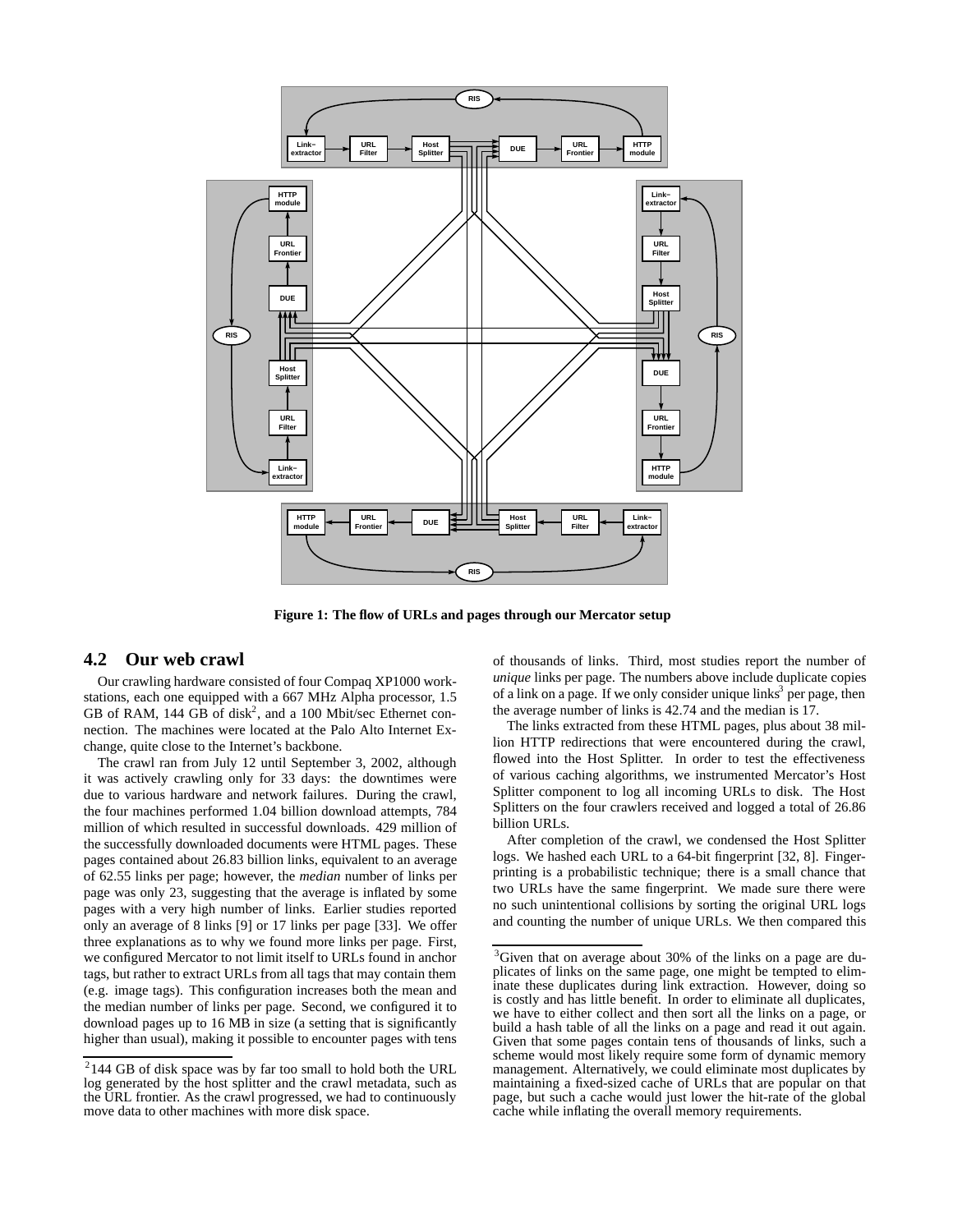

**Figure 1: The flow of URLs and pages through our Mercator setup**

#### **4.2 Our web crawl**

Our crawling hardware consisted of four Compaq XP1000 workstations, each one equipped with a 667 MHz Alpha processor, 1.5 GB of RAM, 144 GB of disk<sup>2</sup>, and a 100 Mbit/sec Ethernet connection. The machines were located at the Palo Alto Internet Exchange, quite close to the Internet's backbone.

The crawl ran from July 12 until September 3, 2002, although it was actively crawling only for 33 days: the downtimes were due to various hardware and network failures. During the crawl, the four machines performed 1.04 billion download attempts, 784 million of which resulted in successful downloads. 429 million of the successfully downloaded documents were HTML pages. These pages contained about 26.83 billion links, equivalent to an average of 62.55 links per page; however, the *median* number of links per page was only 23, suggesting that the average is inflated by some pages with a very high number of links. Earlier studies reported only an average of 8 links [9] or 17 links per page [33]. We offer three explanations as to why we found more links per page. First, we configured Mercator to not limit itself to URLs found in anchor tags, but rather to extract URLs from all tags that may contain them (e.g. image tags). This configuration increases both the mean and the median number of links per page. Second, we configured it to download pages up to 16 MB in size (a setting that is significantly higher than usual), making it possible to encounter pages with tens of thousands of links. Third, most studies report the number of *unique* links per page. The numbers above include duplicate copies of a link on a page. If we only consider unique links<sup>3</sup> per page, then the average number of links is 42.74 and the median is 17.

The links extracted from these HTML pages, plus about 38 million HTTP redirections that were encountered during the crawl, flowed into the Host Splitter. In order to test the effectiveness of various caching algorithms, we instrumented Mercator's Host Splitter component to log all incoming URLs to disk. The Host Splitters on the four crawlers received and logged a total of 26.86 billion URLs.

After completion of the crawl, we condensed the Host Splitter logs. We hashed each URL to a 64-bit fingerprint [32, 8]. Fingerprinting is a probabilistic technique; there is a small chance that two URLs have the same fingerprint. We made sure there were no such unintentional collisions by sorting the original URL logs and counting the number of unique URLs. We then compared this

 $2144$  GB of disk space was by far too small to hold both the URL log generated by the host splitter and the crawl metadata, such as the URL frontier. As the crawl progressed, we had to continuously move data to other machines with more disk space.

<sup>&</sup>lt;sup>3</sup>Given that on average about 30% of the links on a page are duplicates of links on the same page, one might be tempted to eliminate these duplicates during link extraction. However, doing so is costly and has little benefit. In order to eliminate all duplicates, we have to either collect and then sort all the links on a page, or build a hash table of all the links on a page and read it out again. Given that some pages contain tens of thousands of links, such a scheme would most likely require some form of dynamic memory management. Alternatively, we could eliminate most duplicates by maintaining a fixed-sized cache of URLs that are popular on that page, but such a cache would just lower the hit-rate of the global cache while inflating the overall memory requirements.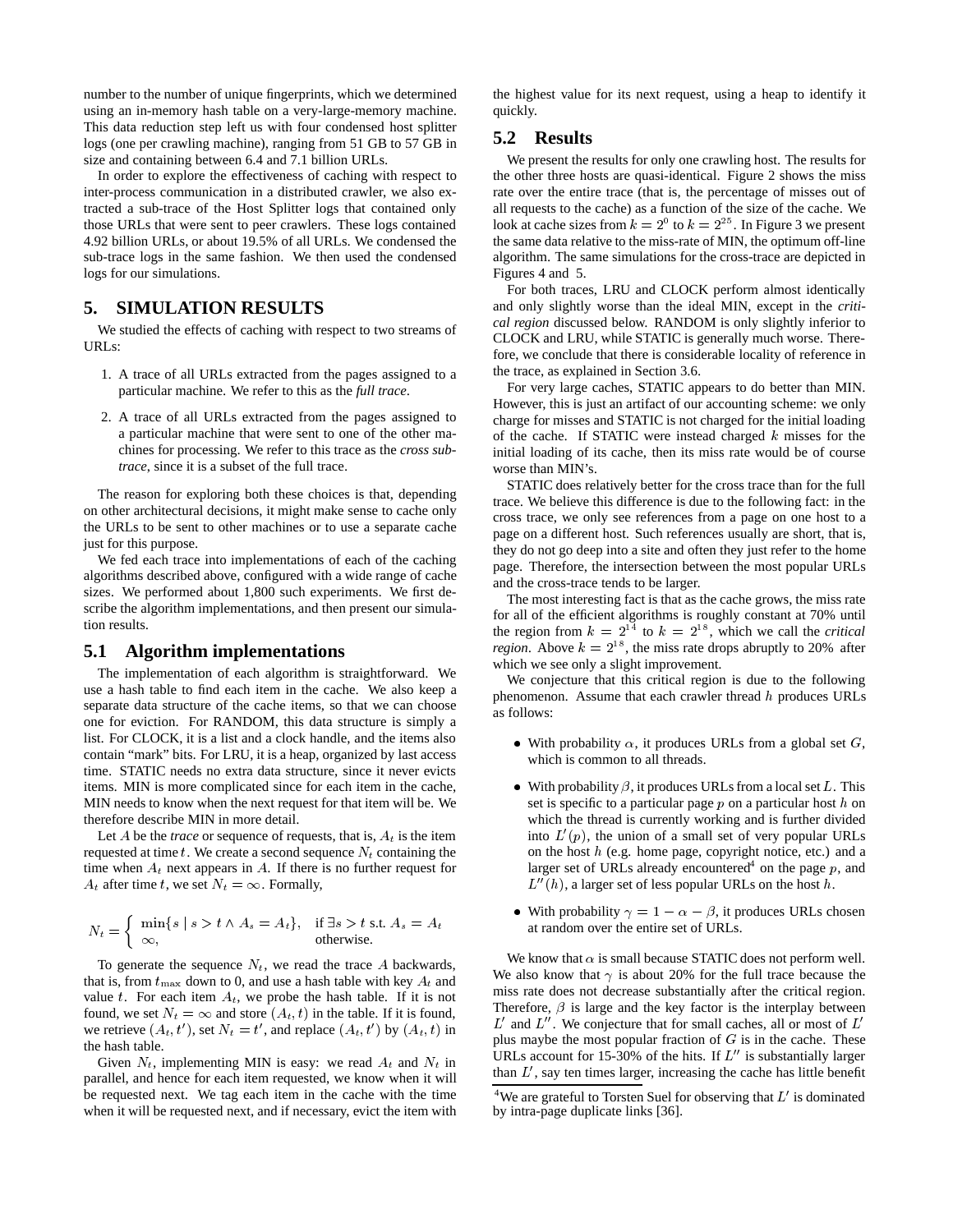number to the number of unique fingerprints, which we determined using an in-memory hash table on a very-large-memory machine. This data reduction step left us with four condensed host splitter logs (one per crawling machine), ranging from 51 GB to 57 GB in size and containing between 6.4 and 7.1 billion URLs.

In order to explore the effectiveness of caching with respect to inter-process communication in a distributed crawler, we also extracted a sub-trace of the Host Splitter logs that contained only those URLs that were sent to peer crawlers. These logs contained 4.92 billion URLs, or about 19.5% of all URLs. We condensed the sub-trace logs in the same fashion. We then used the condensed logs for our simulations.

# **5. SIMULATION RESULTS**

We studied the effects of caching with respect to two streams of URLs:

- 1. A trace of all URLs extracted from the pages assigned to a particular machine. We refer to this as the *full trace*.
- 2. A trace of all URLs extracted from the pages assigned to a particular machine that were sent to one of the other machines for processing. We refer to this trace as the *cross subtrace*, since it is a subset of the full trace.

The reason for exploring both these choices is that, depending on other architectural decisions, it might make sense to cache only the URLs to be sent to other machines or to use a separate cache just for this purpose.

We fed each trace into implementations of each of the caching algorithms described above, configured with a wide range of cache sizes. We performed about 1,800 such experiments. We first describe the algorithm implementations, and then present our simulation results.

#### **5.1 Algorithm implementations**

The implementation of each algorithm is straightforward. We use a hash table to find each item in the cache. We also keep a separate data structure of the cache items, so that we can choose one for eviction. For RANDOM, this data structure is simply a list. For CLOCK, it is a list and a clock handle, and the items also contain "mark" bits. For LRU, it is a heap, organized by last access time. STATIC needs no extra data structure, since it never evicts items. MIN is more complicated since for each item in the cache, MIN needs to know when the next request for that item will be. We therefore describe MIN in more detail.

Let  $A$  be the *trace* or sequence of requests, that is,  $A_t$  is the item requested at time  $t$ . We create a second sequence  $N_t$  containing the time when  $A_t$  next appears in A. If there is no further request for  $A_t$  after time t, we set  $N_t = \infty$ . Formally,

$$
N_t = \begin{cases} \min\{s \mid s > t \land A_s = A_t\}, & \text{if } \exists s > t \text{ s.t. } A_s = A_t \\ \infty, & \text{otherwise.} \end{cases}
$$

To generate the sequence  $N_t$ , we read the trace A backwards, that is, from  $t_{\text{max}}$  down to 0, and use a hash table with key  $A_t$  and value t. For each item  $A_t$ , we probe the hash table. If it is not found, we set  $N_t = \infty$  and store  $(A_t, t)$  in the table. If it is found, we retrieve  $(A_t, t')$ , set  $N_t = t'$ , and replace  $(A_t, t')$  by  $(A_t, t)$  in the hash table.

Given  $N_t$ , implementing MIN is easy: we read  $A_t$  and  $N_t$  in parallel, and hence for each item requested, we know when it will be requested next. We tag each item in the cache with the time when it will be requested next, and if necessary, evict the item with the highest value for its next request, using a heap to identify it quickly.

### **5.2 Results**

We present the results for only one crawling host. The results for the other three hosts are quasi-identical. Figure 2 shows the miss rate over the entire trace (that is, the percentage of misses out of all requests to the cache) as a function of the size of the cache. We look at cache sizes from  $k = 2^0$  to  $k = 2^{25}$ . In Figure 3 we present the same data relative to the miss-rate of MIN, the optimum off-line algorithm. The same simulations for the cross-trace are depicted in Figures 4 and 5.

For both traces, LRU and CLOCK perform almost identically and only slightly worse than the ideal MIN, except in the *critical region* discussed below. RANDOM is only slightly inferior to CLOCK and LRU, while STATIC is generally much worse. Therefore, we conclude that there is considerable locality of reference in the trace, as explained in Section 3.6.

For very large caches, STATIC appears to do better than MIN. However, this is just an artifact of our accounting scheme: we only charge for misses and STATIC is not charged for the initial loading of the cache. If STATIC were instead charged  $k$  misses for the initial loading of its cache, then its miss rate would be of course worse than MIN's.

STATIC does relatively better for the cross trace than for the full trace. We believe this difference is due to the following fact: in the cross trace, we only see references from a page on one host to a page on a different host. Such references usually are short, that is, they do not go deep into a site and often they just refer to the home page. Therefore, the intersection between the most popular URLs and the cross-trace tends to be larger.

The most interesting fact is that as the cache grows, the miss rate for all of the efficient algorithms is roughly constant at 70% until the region from  $k = 2^{14}$  to  $k = 2^{18}$ , which we call the *critical region*. Above  $k = 2^{18}$ , the miss rate drops abruptly to 20% after which we see only a slight improvement.

We conjecture that this critical region is due to the following phenomenon. Assume that each crawler thread h produces URLs as follows:

- With probability  $\alpha$ , it produces URLs from a global set  $G$ , which is common to all threads.
- With probability  $\beta$ , it produces URLs from a local set L. This set is specific to a particular page  $p$  on a particular host  $h$  on which the thread is currently working and is further divided into  $L'(p)$ , the union of a small set of very popular URLs on the host  $h$  (e.g. home page, copyright notice, etc.) and a larger set of URLs already encountered<sup>4</sup> on the page  $p$ , and  $L''(h)$ , a larger set of less popular URLs on the host h.
- With probability  $\gamma = 1 \alpha \beta$ , it produces URLs chosen at random over the entire set of URLs.

We know that  $\alpha$  is small because STATIC does not perform well. We also know that  $\gamma$  is about 20% for the full trace because the miss rate does not decrease substantially after the critical region. Therefore,  $\beta$  is large and the key factor is the interplay between  $L'$  and  $L''$ . We conjecture that for small caches, all or most of  $L'$ plus maybe the most popular fraction of  $G$  is in the cache. These URLs account for 15-30% of the hits. If  $L''$  is substantially larger than  $L'$ , say ten times larger, increasing the cache has little benefit

<sup>&</sup>lt;sup>4</sup>We are grateful to Torsten Suel for observing that  $L'$  is dominated by intra-page duplicate links [36].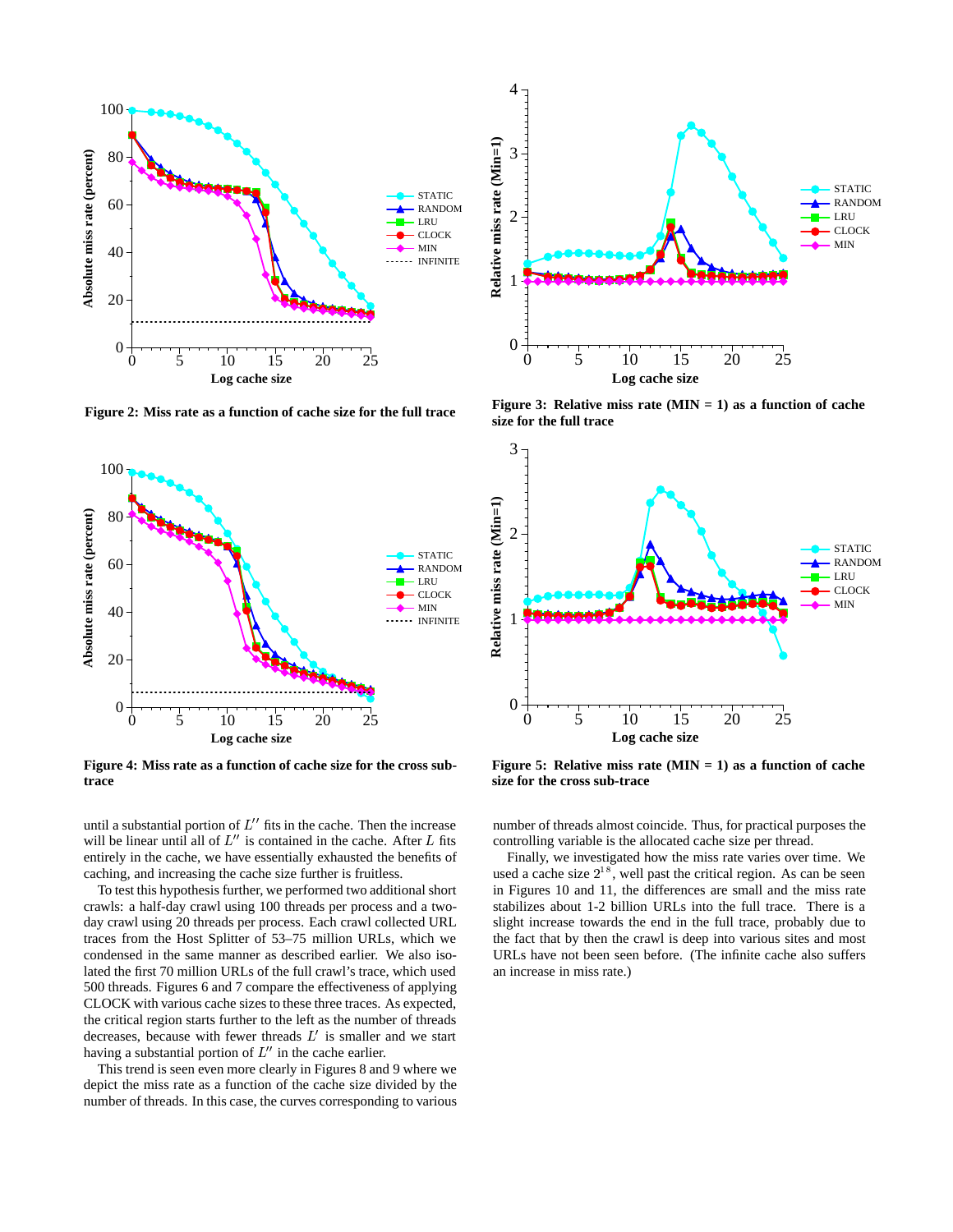



**Figure 4: Miss rate as a function of cache size for the cross subtrace**

until a substantial portion of  $L^{\prime\prime}$  fits in the cache. Then the increase will be linear until all of  $L^{\prime\prime}$  is contained in the cache. After L fits entirely in the cache, we have essentially exhausted the benefits of caching, and increasing the cache size further is fruitless.

To test this hypothesis further, we performed two additional short crawls: a half-day crawl using 100 threads per process and a twoday crawl using 20 threads per process. Each crawl collected URL traces from the Host Splitter of 53–75 million URLs, which we condensed in the same manner as described earlier. We also isolated the first 70 million URLs of the full crawl's trace, which used 500 threads. Figures 6 and 7 compare the effectiveness of applying CLOCK with various cache sizes to these three traces. As expected, the critical region starts further to the left as the number of threads decreases, because with fewer threads  $L'$  is smaller and we start having a substantial portion of  $L''$  in the cache earlier.

This trend is seen even more clearly in Figures 8 and 9 where we depict the miss rate as a function of the cache size divided by the number of threads. In this case, the curves corresponding to various



**Figure 2: Miss rate as a function of cache size for the full trace Figure 3: Relative miss rate (MIN = 1) as a function of cache size for the full trace**



**Figure 5: Relative miss rate (MIN = 1) as a function of cache size for the cross sub-trace**

number of threads almost coincide. Thus, for practical purposes the controlling variable is the allocated cache size per thread.

Finally, we investigated how the miss rate varies over time. We used a cache size  $2^{18}$ , well past the critical region. As can be seen in Figures 10 and 11, the differences are small and the miss rate stabilizes about 1-2 billion URLs into the full trace. There is a slight increase towards the end in the full trace, probably due to the fact that by then the crawl is deep into various sites and most URLs have not been seen before. (The infinite cache also suffers an increase in miss rate.)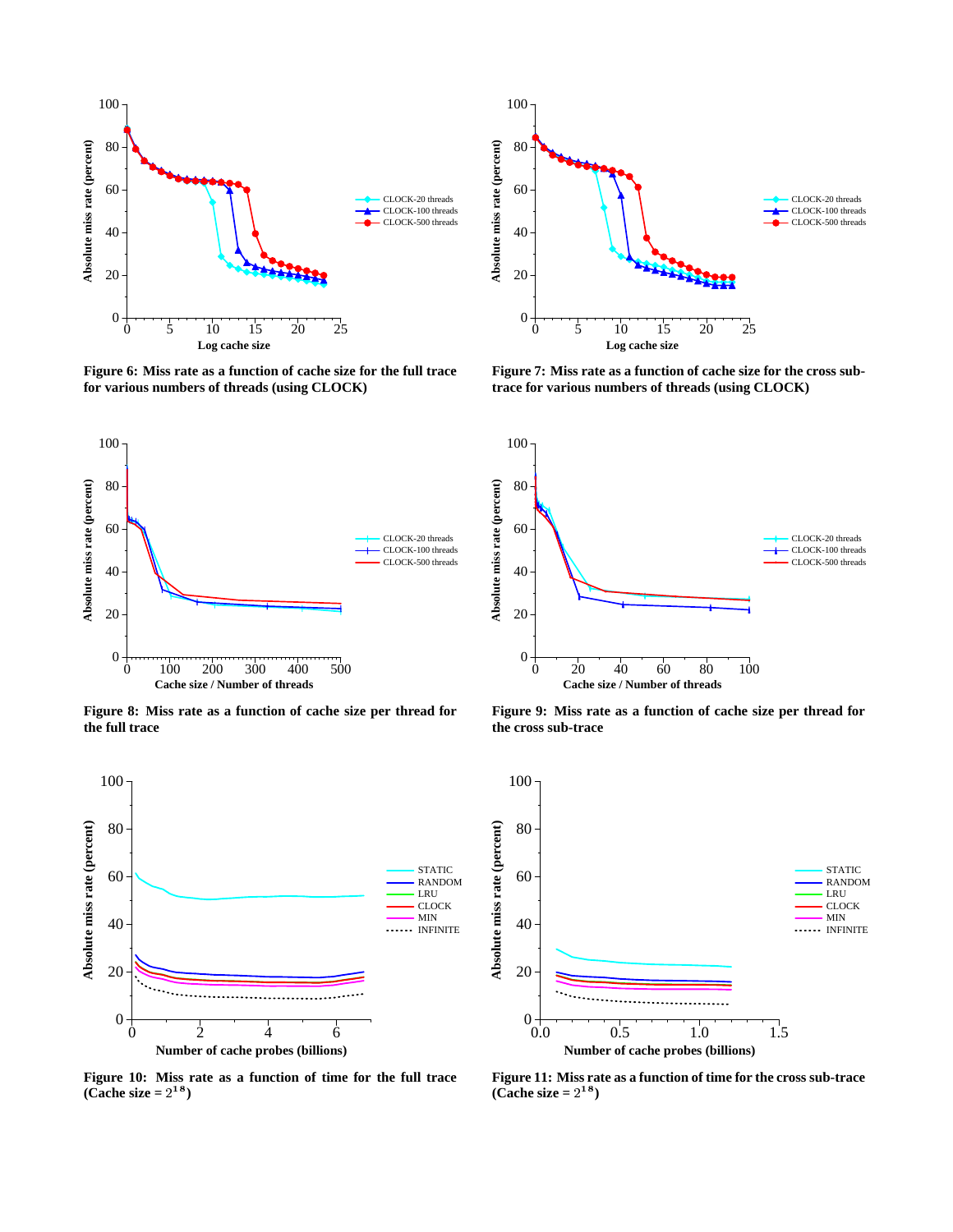

**Figure 6: Miss rate as a function of cache size for the full trace for various numbers of threads (using CLOCK)**



**Figure 8: Miss rate as a function of cache size per thread for the full trace**



**Figure 10: Miss rate as a function of time for the full trace**  $(Cache size = 2^{18})$ 



**Figure 7: Miss rate as a function of cache size for the cross subtrace for various numbers of threads (using CLOCK)**



**Figure 9: Miss rate as a function of cache size per thread for the cross sub-trace**



**Figure 11: Miss rate as a function of time for the cross sub-trace**  $(Cache size = 2^{18})$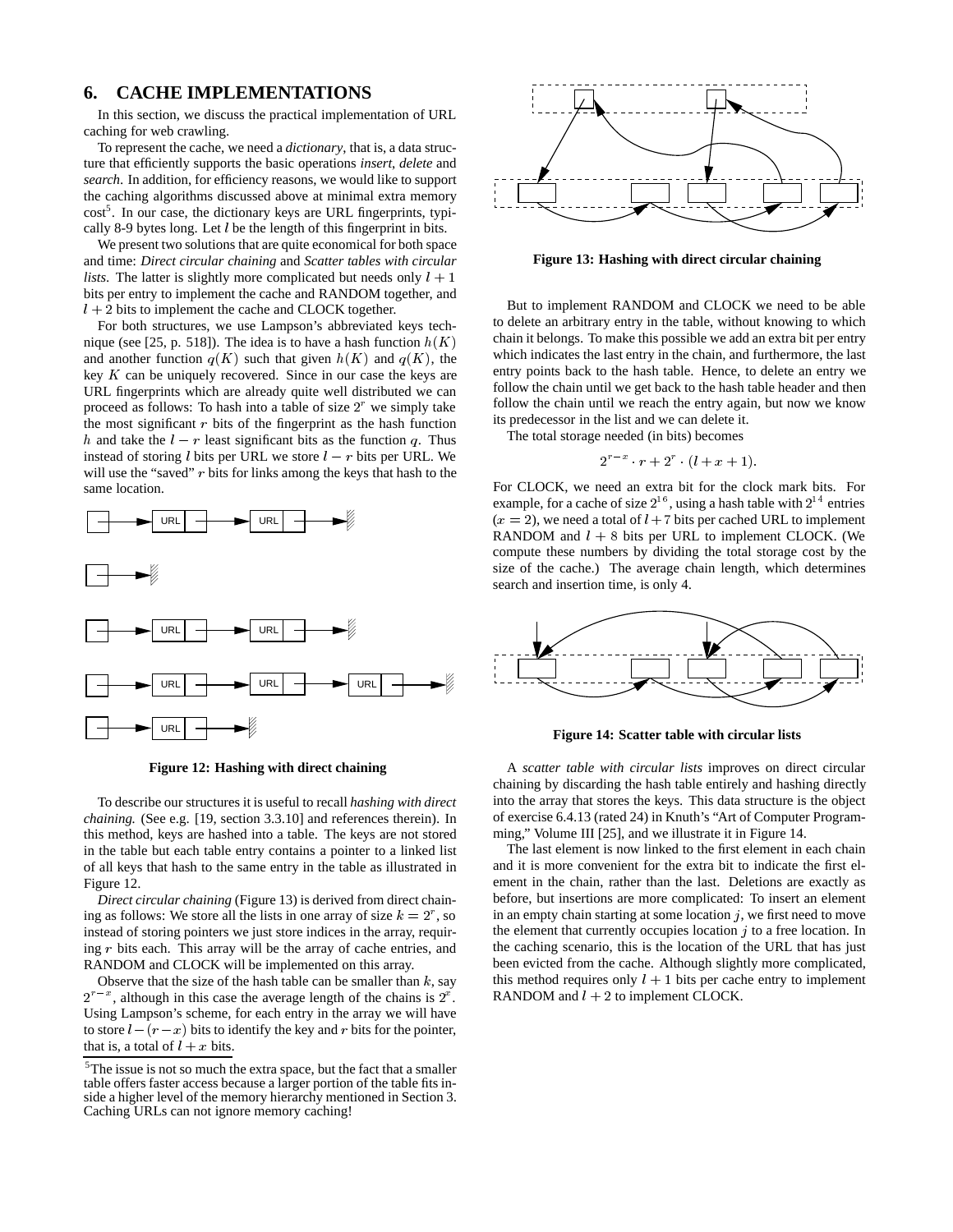# **6. CACHE IMPLEMENTATIONS**

In this section, we discuss the practical implementation of URL caching for web crawling.

To represent the cache, we need a *dictionary*, that is, a data structure that efficiently supports the basic operations *insert*, *delete* and *search*. In addition, for efficiency reasons, we would like to support the caching algorithms discussed above at minimal extra memory cost<sup>5</sup>. In our case, the dictionary keys are URL fingerprints, typically 8-9 bytes long. Let  $l$  be the length of this fingerprint in bits.

We present two solutions that are quite economical for both space and time: *Direct circular chaining* and *Scatter tables with circular lists*. The latter is slightly more complicated but needs only  $l + 1$ bits per entry to implement the cache and RANDOM together, and  $l + 2$  bits to implement the cache and CLOCK together.

For both structures, we use Lampson's abbreviated keys technique (see [25, p. 518]). The idea is to have a hash function  $h(K)$ and another function  $q(K)$  such that given  $h(K)$  and  $q(K)$ , the key  $K$  can be uniquely recovered. Since in our case the keys are URL fingerprints which are already quite well distributed we can proceed as follows: To hash into a table of size  $2<sup>r</sup>$  we simply take the most significant  $r$  bits of the fingerprint as the hash function h and take the  $l - r$  least significant bits as the function q. Thus instead of storing *l* bits per URL we store  $l - r$  bits per URL. We will use the "saved"  $r$  bits for links among the keys that hash to the same location.



**Figure 12: Hashing with direct chaining**

To describe our structures it is useful to recall *hashing with direct chaining.* (See e.g. [19, section 3.3.10] and references therein). In this method, keys are hashed into a table. The keys are not stored in the table but each table entry contains a pointer to a linked list of all keys that hash to the same entry in the table as illustrated in Figure 12.

*Direct circular chaining* (Figure 13) is derived from direct chaining as follows: We store all the lists in one array of size  $k = 2<sup>r</sup>$ , so instead of storing pointers we just store indices in the array, requiring  $r$  bits each. This array will be the array of cache entries, and RANDOM and CLOCK will be implemented on this array.

Observe that the size of the hash table can be smaller than  $k$ , say  $2^{r-x}$ , although in this case the average length of the chains is  $2^x$ . Using Lampson's scheme, for each entry in the array we will have to store  $l - (r - x)$  bits to identify the key and r bits for the pointer, that is, a total of  $l + x$  bits.



**Figure 13: Hashing with direct circular chaining**

But to implement RANDOM and CLOCK we need to be able to delete an arbitrary entry in the table, without knowing to which chain it belongs. To make this possible we add an extra bit per entry which indicates the last entry in the chain, and furthermore, the last entry points back to the hash table. Hence, to delete an entry we follow the chain until we get back to the hash table header and then follow the chain until we reach the entry again, but now we know its predecessor in the list and we can delete it.

The total storage needed (in bits) becomes

$$
2^{r-x} \quad r+2^r \quad (l+x+1).
$$

For CLOCK, we need an extra bit for the clock mark bits. For example, for a cache of size  $2^{16}$ , using a hash table with  $2^{14}$  entries  $(x = 2)$ , we need a total of  $l + 7$  bits per cached URL to implement RANDOM and  $l + 8$  bits per URL to implement CLOCK. (We compute these numbers by dividing the total storage cost by the size of the cache.) The average chain length, which determines search and insertion time, is only 4.



**Figure 14: Scatter table with circular lists**

A *scatter table with circular lists* improves on direct circular chaining by discarding the hash table entirely and hashing directly into the array that stores the keys. This data structure is the object of exercise 6.4.13 (rated 24) in Knuth's "Art of Computer Programming," Volume III [25], and we illustrate it in Figure 14.

The last element is now linked to the first element in each chain and it is more convenient for the extra bit to indicate the first element in the chain, rather than the last. Deletions are exactly as before, but insertions are more complicated: To insert an element in an empty chain starting at some location  $j$ , we first need to move the element that currently occupies location  $j$  to a free location. In the caching scenario, this is the location of the URL that has just been evicted from the cache. Although slightly more complicated, this method requires only  $l + 1$  bits per cache entry to implement RANDOM and  $l + 2$  to implement CLOCK.

<sup>&</sup>lt;sup>5</sup>The issue is not so much the extra space, but the fact that a smaller table offers faster access because a larger portion of the table fits inside a higher level of the memory hierarchy mentioned in Section 3. Caching URLs can not ignore memory caching!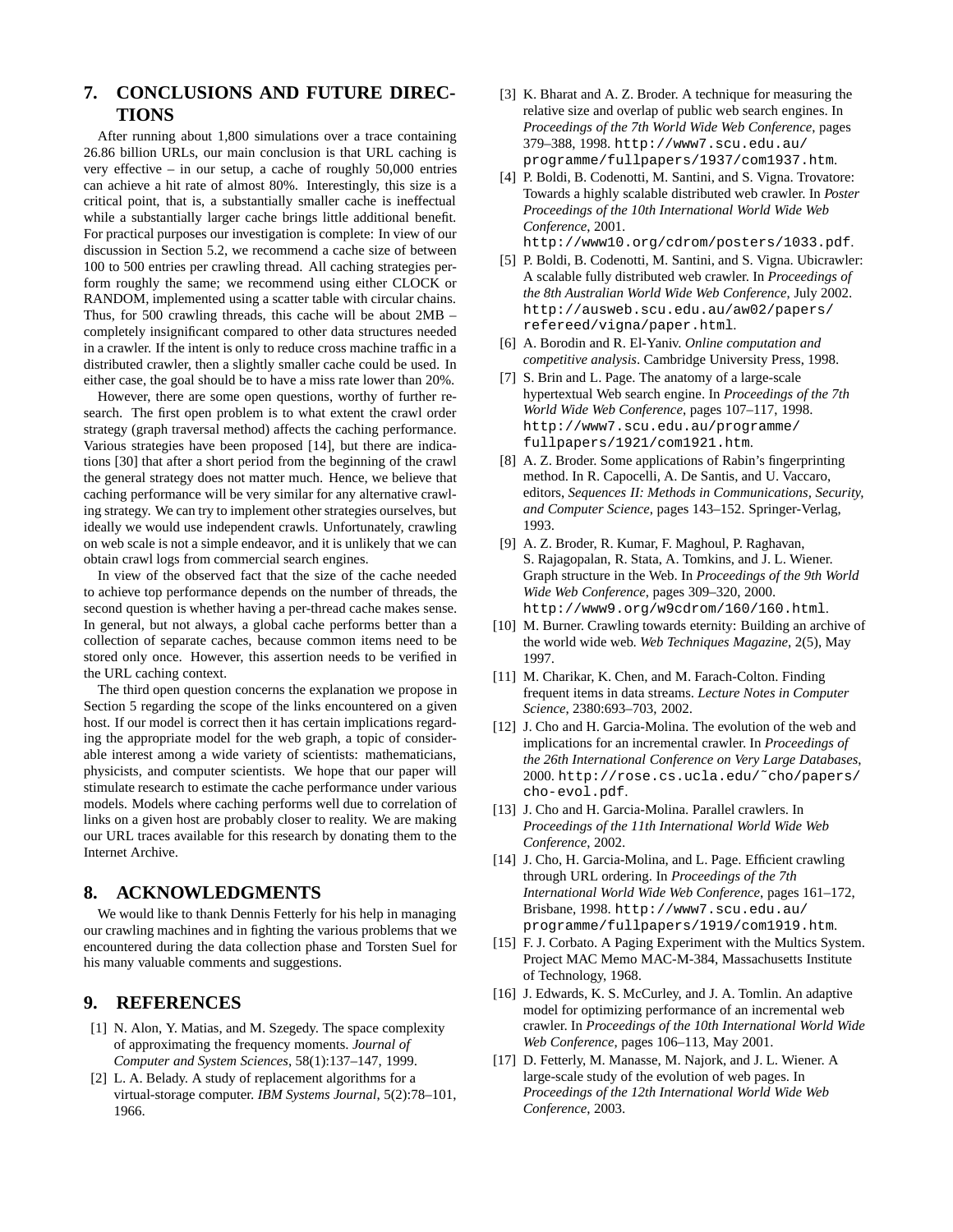# **7. CONCLUSIONS AND FUTURE DIREC-TIONS**

After running about 1,800 simulations over a trace containing 26.86 billion URLs, our main conclusion is that URL caching is very effective – in our setup, a cache of roughly 50,000 entries can achieve a hit rate of almost 80%. Interestingly, this size is a critical point, that is, a substantially smaller cache is ineffectual while a substantially larger cache brings little additional benefit. For practical purposes our investigation is complete: In view of our discussion in Section 5.2, we recommend a cache size of between 100 to 500 entries per crawling thread. All caching strategies perform roughly the same; we recommend using either CLOCK or RANDOM, implemented using a scatter table with circular chains. Thus, for 500 crawling threads, this cache will be about 2MB – completely insignificant compared to other data structures needed in a crawler. If the intent is only to reduce cross machine traffic in a distributed crawler, then a slightly smaller cache could be used. In either case, the goal should be to have a miss rate lower than 20%.

However, there are some open questions, worthy of further research. The first open problem is to what extent the crawl order strategy (graph traversal method) affects the caching performance. Various strategies have been proposed [14], but there are indications [30] that after a short period from the beginning of the crawl the general strategy does not matter much. Hence, we believe that caching performance will be very similar for any alternative crawling strategy. We can try to implement other strategies ourselves, but ideally we would use independent crawls. Unfortunately, crawling on web scale is not a simple endeavor, and it is unlikely that we can obtain crawl logs from commercial search engines.

In view of the observed fact that the size of the cache needed to achieve top performance depends on the number of threads, the second question is whether having a per-thread cache makes sense. In general, but not always, a global cache performs better than a collection of separate caches, because common items need to be stored only once. However, this assertion needs to be verified in the URL caching context.

The third open question concerns the explanation we propose in Section 5 regarding the scope of the links encountered on a given host. If our model is correct then it has certain implications regarding the appropriate model for the web graph, a topic of considerable interest among a wide variety of scientists: mathematicians, physicists, and computer scientists. We hope that our paper will stimulate research to estimate the cache performance under various models. Models where caching performs well due to correlation of links on a given host are probably closer to reality. We are making our URL traces available for this research by donating them to the Internet Archive.

# **8. ACKNOWLEDGMENTS**

We would like to thank Dennis Fetterly for his help in managing our crawling machines and in fighting the various problems that we encountered during the data collection phase and Torsten Suel for his many valuable comments and suggestions.

# **9. REFERENCES**

- [1] N. Alon, Y. Matias, and M. Szegedy. The space complexity of approximating the frequency moments. *Journal of Computer and System Sciences*, 58(1):137–147, 1999.
- [2] L. A. Belady. A study of replacement algorithms for a virtual-storage computer. *IBM Systems Journal*, 5(2):78–101, 1966.
- [3] K. Bharat and A. Z. Broder. A technique for measuring the relative size and overlap of public web search engines. In *Proceedings of the 7th World Wide Web Conference*, pages 379–388, 1998. http://www7.scu.edu.au/ programme/fullpapers/1937/com1937.htm.
- [4] P. Boldi, B. Codenotti, M. Santini, and S. Vigna. Trovatore: Towards a highly scalable distributed web crawler. In *Poster Proceedings of the 10th International World Wide Web Conference*, 2001. http://www10.org/cdrom/posters/1033.pdf.
- [5] P. Boldi, B. Codenotti, M. Santini, and S. Vigna. Ubicrawler: A scalable fully distributed web crawler. In *Proceedings of the 8th Australian World Wide Web Conference*, July 2002. http://ausweb.scu.edu.au/aw02/papers/ refereed/vigna/paper.html.
- [6] A. Borodin and R. El-Yaniv. *Online computation and competitive analysis*. Cambridge University Press, 1998.
- [7] S. Brin and L. Page. The anatomy of a large-scale hypertextual Web search engine. In *Proceedings of the 7th World Wide Web Conference*, pages 107–117, 1998. http://www7.scu.edu.au/programme/ fullpapers/1921/com1921.htm.
- [8] A. Z. Broder. Some applications of Rabin's fingerprinting method. In R. Capocelli, A. De Santis, and U. Vaccaro, editors, *Sequences II: Methods in Communications, Security, and Computer Science*, pages 143–152. Springer-Verlag, 1993.
- [9] A. Z. Broder, R. Kumar, F. Maghoul, P. Raghavan, S. Rajagopalan, R. Stata, A. Tomkins, and J. L. Wiener. Graph structure in the Web. In *Proceedings of the 9th World Wide Web Conference*, pages 309–320, 2000. http://www9.org/w9cdrom/160/160.html.
- [10] M. Burner. Crawling towards eternity: Building an archive of the world wide web. *Web Techniques Magazine*, 2(5), May 1997.
- [11] M. Charikar, K. Chen, and M. Farach-Colton. Finding frequent items in data streams. *Lecture Notes in Computer Science*, 2380:693–703, 2002.
- [12] J. Cho and H. Garcia-Molina. The evolution of the web and implications for an incremental crawler. In *Proceedings of the 26th International Conference on Very Large Databases*, 2000. http://rose.cs.ucla.edu/˜cho/papers/ cho-evol.pdf.
- [13] J. Cho and H. Garcia-Molina. Parallel crawlers. In *Proceedings of the 11th International World Wide Web Conference*, 2002.
- [14] J. Cho, H. Garcia-Molina, and L. Page. Efficient crawling through URL ordering. In *Proceedings of the 7th International World Wide Web Conference*, pages 161–172, Brisbane, 1998. http://www7.scu.edu.au/ programme/fullpapers/1919/com1919.htm.
- [15] F. J. Corbato. A Paging Experiment with the Multics System. Project MAC Memo MAC-M-384, Massachusetts Institute of Technology, 1968.
- [16] J. Edwards, K. S. McCurley, and J. A. Tomlin. An adaptive model for optimizing performance of an incremental web crawler. In *Proceedings of the 10th International World Wide Web Conference*, pages 106–113, May 2001.
- [17] D. Fetterly, M. Manasse, M. Najork, and J. L. Wiener. A large-scale study of the evolution of web pages. In *Proceedings of the 12th International World Wide Web Conference*, 2003.